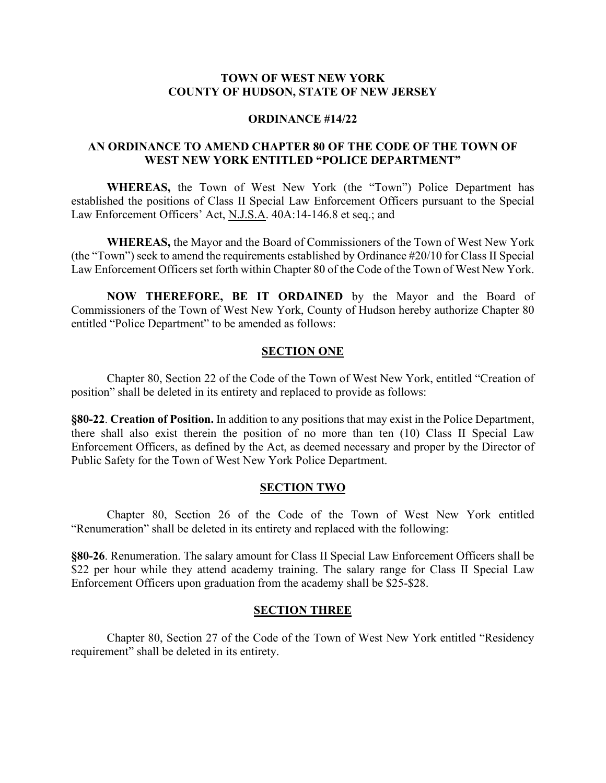# **TOWN OF WEST NEW YORK COUNTY OF HUDSON, STATE OF NEW JERSEY**

#### **ORDINANCE #14/22**

# **AN ORDINANCE TO AMEND CHAPTER 80 OF THE CODE OF THE TOWN OF WEST NEW YORK ENTITLED "POLICE DEPARTMENT"**

**WHEREAS,** the Town of West New York (the "Town") Police Department has established the positions of Class II Special Law Enforcement Officers pursuant to the Special Law Enforcement Officers' Act, N.J.S.A. 40A:14-146.8 et seq.; and

**WHEREAS,** the Mayor and the Board of Commissioners of the Town of West New York (the "Town") seek to amend the requirements established by Ordinance #20/10 for Class II Special Law Enforcement Officers set forth within Chapter 80 of the Code of the Town of West New York.

**NOW THEREFORE, BE IT ORDAINED** by the Mayor and the Board of Commissioners of the Town of West New York, County of Hudson hereby authorize Chapter 80 entitled "Police Department" to be amended as follows:

#### **SECTION ONE**

Chapter 80, Section 22 of the Code of the Town of West New York, entitled "Creation of position" shall be deleted in its entirety and replaced to provide as follows:

**§80-22**. **Creation of Position.** In addition to any positions that may exist in the Police Department, there shall also exist therein the position of no more than ten (10) Class II Special Law Enforcement Officers, as defined by the Act, as deemed necessary and proper by the Director of Public Safety for the Town of West New York Police Department.

#### **SECTION TWO**

Chapter 80, Section 26 of the Code of the Town of West New York entitled "Renumeration" shall be deleted in its entirety and replaced with the following:

**§80-26**. Renumeration. The salary amount for Class II Special Law Enforcement Officers shall be \$22 per hour while they attend academy training. The salary range for Class II Special Law Enforcement Officers upon graduation from the academy shall be \$25-\$28.

#### **SECTION THREE**

Chapter 80, Section 27 of the Code of the Town of West New York entitled "Residency requirement" shall be deleted in its entirety.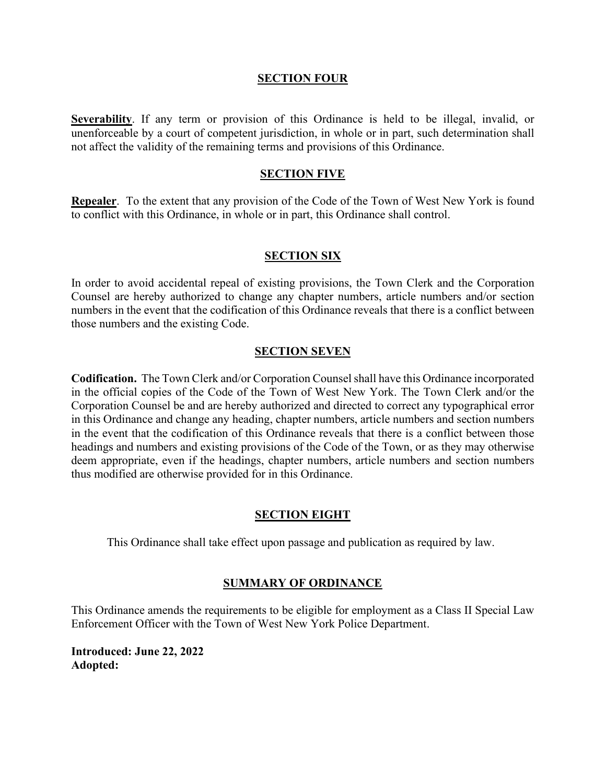## **SECTION FOUR**

**Severability**. If any term or provision of this Ordinance is held to be illegal, invalid, or unenforceable by a court of competent jurisdiction, in whole or in part, such determination shall not affect the validity of the remaining terms and provisions of this Ordinance.

# **SECTION FIVE**

**Repealer**. To the extent that any provision of the Code of the Town of West New York is found to conflict with this Ordinance, in whole or in part, this Ordinance shall control.

## **SECTION SIX**

In order to avoid accidental repeal of existing provisions, the Town Clerk and the Corporation Counsel are hereby authorized to change any chapter numbers, article numbers and/or section numbers in the event that the codification of this Ordinance reveals that there is a conflict between those numbers and the existing Code.

## **SECTION SEVEN**

**Codification.** The Town Clerk and/or Corporation Counsel shall have this Ordinance incorporated in the official copies of the Code of the Town of West New York. The Town Clerk and/or the Corporation Counsel be and are hereby authorized and directed to correct any typographical error in this Ordinance and change any heading, chapter numbers, article numbers and section numbers in the event that the codification of this Ordinance reveals that there is a conflict between those headings and numbers and existing provisions of the Code of the Town, or as they may otherwise deem appropriate, even if the headings, chapter numbers, article numbers and section numbers thus modified are otherwise provided for in this Ordinance.

#### **SECTION EIGHT**

This Ordinance shall take effect upon passage and publication as required by law.

# **SUMMARY OF ORDINANCE**

This Ordinance amends the requirements to be eligible for employment as a Class II Special Law Enforcement Officer with the Town of West New York Police Department.

**Introduced: June 22, 2022 Adopted:**